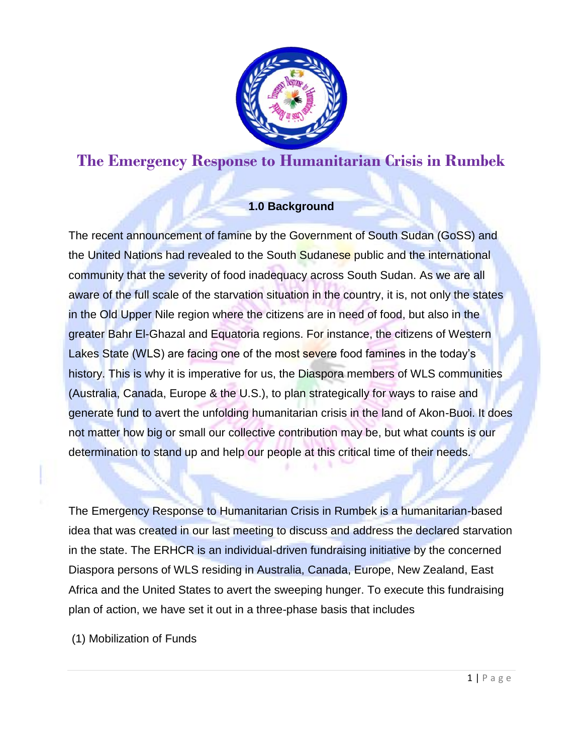

# **The Emergency Response to Humanitarian Crisis in Rumbek**

# **1.0 Background**

The recent announcement of famine by the Government of South Sudan (GoSS) and the United Nations had revealed to the South Sudanese public and the international community that the severity of food inadequacy across South Sudan. As we are all aware of the full scale of the starvation situation in the country, it is, not only the states in the Old Upper Nile region where the citizens are in need of food, but also in the greater Bahr El-Ghazal and Equatoria regions. For instance, the citizens of Western Lakes State (WLS) are facing one of the most severe food famines in the today's history. This is why it is imperative for us, the Diaspora members of WLS communities (Australia, Canada, Europe & the U.S.), to plan strategically for ways to raise and generate fund to avert the unfolding humanitarian crisis in the land of Akon-Buoi. It does not matter how big or small our collective contribution may be, but what counts is our determination to stand up and help our people at this critical time of their needs.

The Emergency Response to Humanitarian Crisis in Rumbek is a humanitarian-based idea that was created in our last meeting to discuss and address the declared starvation in the state. The ERHCR is an individual-driven fundraising initiative by the concerned Diaspora persons of WLS residing in Australia, Canada, Europe, New Zealand, East Africa and the United States to avert the sweeping hunger. To execute this fundraising plan of action, we have set it out in a three-phase basis that includes

(1) Mobilization of Funds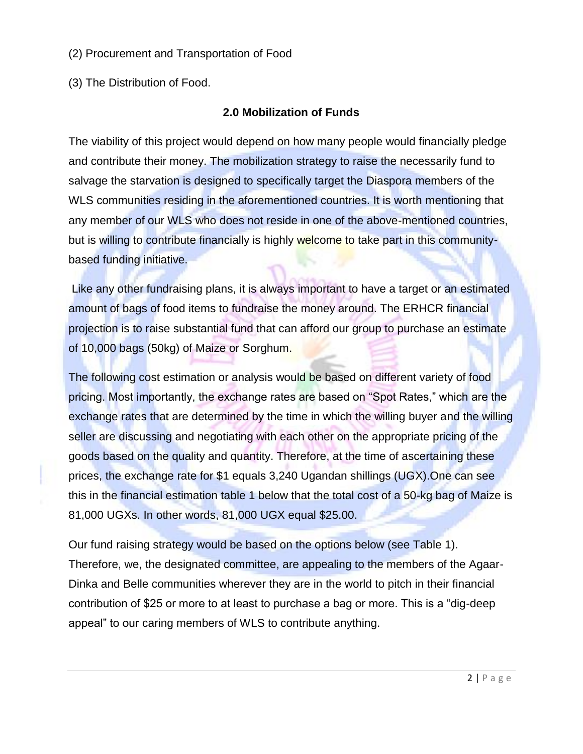#### (2) Procurement and Transportation of Food

(3) The Distribution of Food.

# **2.0 Mobilization of Funds**

The viability of this project would depend on how many people would financially pledge and contribute their money. The mobilization strategy to raise the necessarily fund to salvage the starvation is designed to specifically target the Diaspora members of the WLS communities residing in the aforementioned countries. It is worth mentioning that any member of our WLS who does not reside in one of the above-mentioned countries, but is willing to contribute financially is highly welcome to take part in this communitybased funding initiative.

Like any other fundraising plans, it is always important to have a target or an estimated amount of bags of food items to fundraise the money around. The ERHCR financial projection is to raise substantial fund that can afford our group to purchase an estimate of 10,000 bags (50kg) of Maize or Sorghum.

The following cost estimation or analysis would be based on different variety of food pricing. Most importantly, the exchange rates are based on "Spot Rates," which are the exchange rates that are determined by the time in which the willing buyer and the willing seller are discussing and negotiating with each other on the appropriate pricing of the goods based on the quality and quantity. Therefore, at the time of ascertaining these prices, the exchange rate for \$1 equals 3,240 Ugandan shillings (UGX).One can see this in the financial estimation table 1 below that the total cost of a 50-kg bag of Maize is 81,000 UGXs. In other words, 81,000 UGX equal \$25.00.

Our fund raising strategy would be based on the options below (see Table 1). Therefore, we, the designated committee, are appealing to the members of the Agaar-Dinka and Belle communities wherever they are in the world to pitch in their financial contribution of \$25 or more to at least to purchase a bag or more. This is a "dig-deep appeal" to our caring members of WLS to contribute anything.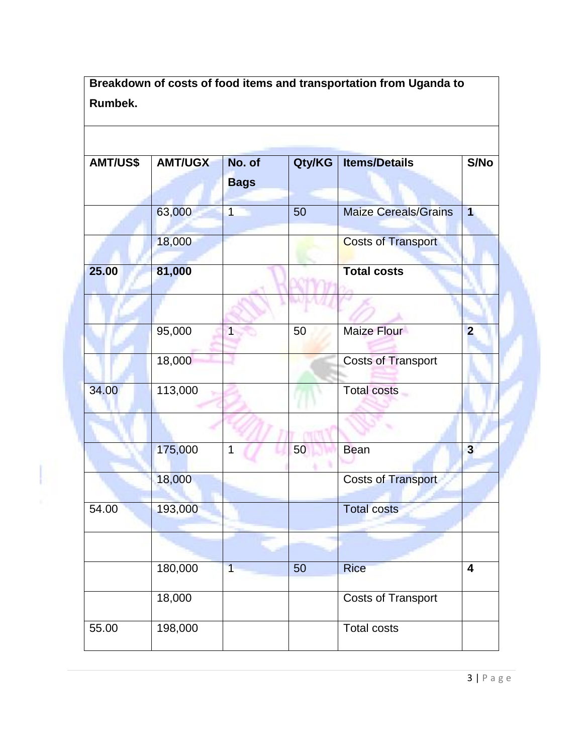**Breakdown of costs of food items and transportation from Uganda to Rumbek.**

| AMT/US\$ | <b>AMT/UGX</b> | No. of<br><b>Bags</b> | Qty/KG | <b>Items/Details</b>        | S/No                    |
|----------|----------------|-----------------------|--------|-----------------------------|-------------------------|
|          | 63,000         | $\overline{1}$        | 50     | <b>Maize Cereals/Grains</b> | 1                       |
|          | 18,000         |                       |        | <b>Costs of Transport</b>   |                         |
| 25.00    | 81,000         |                       |        | <b>Total costs</b>          |                         |
|          |                |                       |        |                             |                         |
|          | 95,000         | 1                     | 50     | Maize Flour                 | $\overline{2}$          |
|          | 18,000         |                       |        | <b>Costs of Transport</b>   |                         |
| 34.00    | 113,000        |                       |        | <b>Total costs</b>          |                         |
|          |                |                       |        |                             |                         |
|          | 175,000        | 1                     | 50     | <b>Bean</b>                 | $\overline{\mathbf{3}}$ |
|          | 18,000         |                       |        | <b>Costs of Transport</b>   |                         |
| 54.00    | 193,000        |                       |        | <b>Total costs</b>          |                         |
|          |                |                       |        |                             |                         |
|          | 180,000        | $\overline{1}$        | 50     | <b>Rice</b>                 | 4                       |
|          | 18,000         |                       |        | <b>Costs of Transport</b>   |                         |
| 55.00    | 198,000        |                       |        | <b>Total costs</b>          |                         |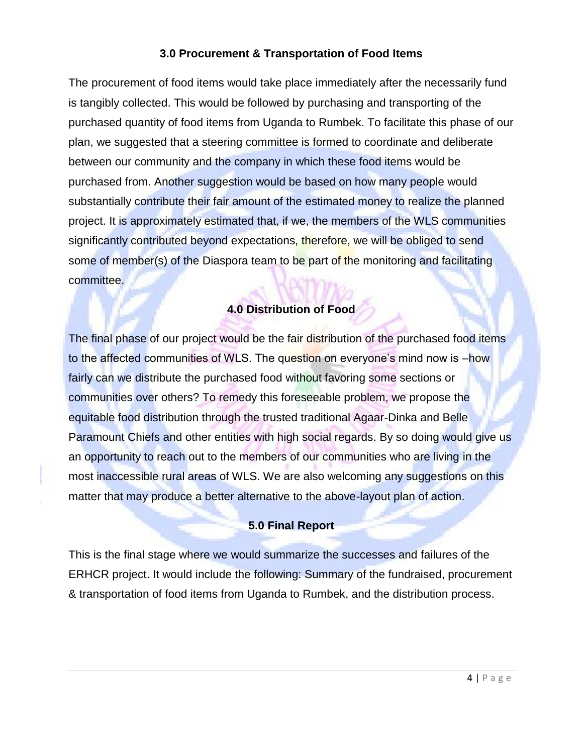### **3.0 Procurement & Transportation of Food Items**

The procurement of food items would take place immediately after the necessarily fund is tangibly collected. This would be followed by purchasing and transporting of the purchased quantity of food items from Uganda to Rumbek. To facilitate this phase of our plan, we suggested that a steering committee is formed to coordinate and deliberate between our community and the company in which these food items would be purchased from. Another suggestion would be based on how many people would substantially contribute their fair amount of the estimated money to realize the planned project. It is approximately estimated that, if we, the members of the WLS communities significantly contributed beyond expectations, therefore, we will be obliged to send some of member(s) of the Diaspora team to be part of the monitoring and facilitating committee.

## **4.0 Distribution of Food**

The final phase of our project would be the fair distribution of the purchased food items to the affected communities of WLS. The question on everyone's mind now is –how fairly can we distribute the purchased food without favoring some sections or communities over others? To remedy this foreseeable problem, we propose the equitable food distribution through the trusted traditional Agaar-Dinka and Belle Paramount Chiefs and other entities with high social regards. By so doing would give us an opportunity to reach out to the members of our communities who are living in the most inaccessible rural areas of WLS. We are also welcoming any suggestions on this matter that may produce a better alternative to the above-layout plan of action.

#### **5.0 Final Report**

This is the final stage where we would summarize the successes and failures of the ERHCR project. It would include the following: Summary of the fundraised, procurement & transportation of food items from Uganda to Rumbek, and the distribution process.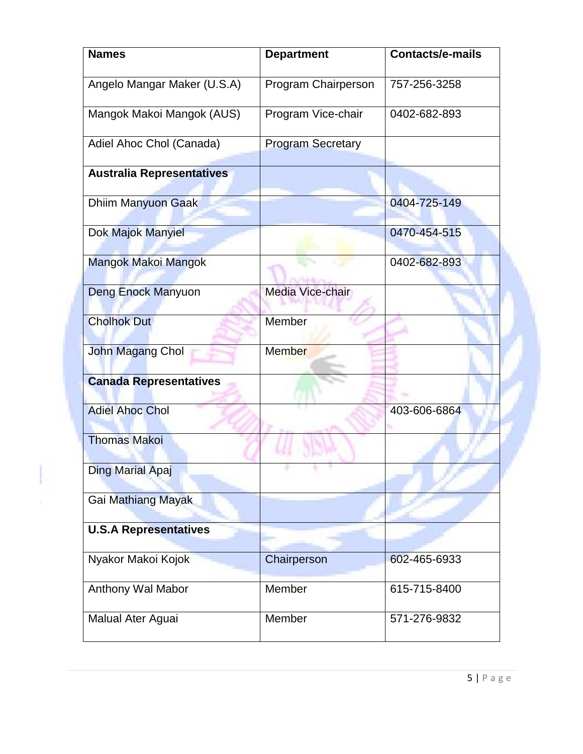| <b>Names</b>                     | <b>Department</b>        | <b>Contacts/e-mails</b> |  |
|----------------------------------|--------------------------|-------------------------|--|
| Angelo Mangar Maker (U.S.A)      | Program Chairperson      | 757-256-3258            |  |
| Mangok Makoi Mangok (AUS)        | Program Vice-chair       | 0402-682-893            |  |
| Adiel Ahoc Chol (Canada)         | <b>Program Secretary</b> |                         |  |
| <b>Australia Representatives</b> |                          |                         |  |
| <b>Dhiim Manyuon Gaak</b>        |                          | 0404-725-149            |  |
| Dok Majok Manyiel                |                          | 0470-454-515            |  |
| Mangok Makoi Mangok              |                          | 0402-682-893            |  |
| <b>Deng Enock Manyuon</b>        | <b>Media Vice-chair</b>  |                         |  |
| <b>Cholhok Dut</b>               | Member                   |                         |  |
| John Magang Chol                 | <b>Member</b>            |                         |  |
| <b>Canada Representatives</b>    |                          |                         |  |
| <b>Adiel Ahoc Chol</b>           |                          | 403-606-6864            |  |
| <b>Thomas Makoi</b>              |                          |                         |  |
| Ding Marial Apaj                 |                          |                         |  |
| Gai Mathiang Mayak               |                          |                         |  |
| <b>U.S.A Representatives</b>     |                          |                         |  |
| Nyakor Makoi Kojok               | Chairperson              | 602-465-6933            |  |
| Anthony Wal Mabor                | Member                   | 615-715-8400            |  |
| Malual Ater Aguai                | Member                   | 571-276-9832            |  |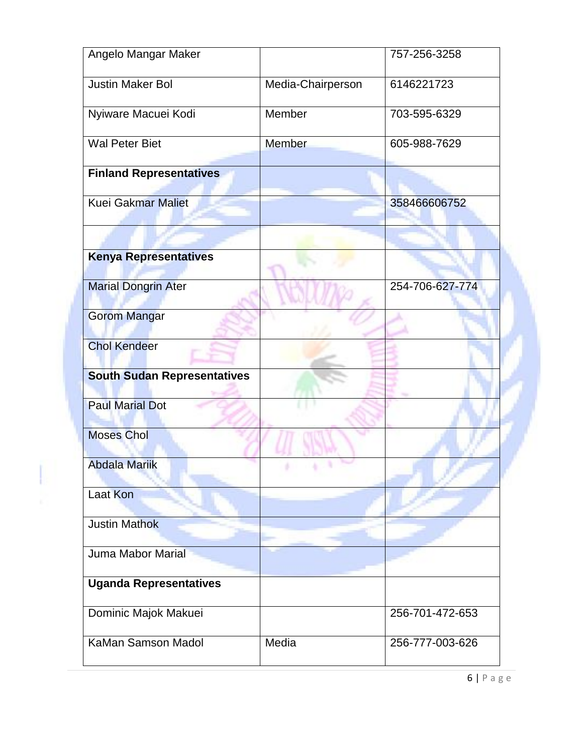| Angelo Mangar Maker                |                   | 757-256-3258    |
|------------------------------------|-------------------|-----------------|
| Justin Maker Bol                   | Media-Chairperson | 6146221723      |
| Nyiware Macuei Kodi                | Member            | 703-595-6329    |
| <b>Wal Peter Biet</b>              | Member            | 605-988-7629    |
| <b>Finland Representatives</b>     |                   |                 |
| <b>Kuei Gakmar Maliet</b>          |                   | 358466606752    |
|                                    |                   |                 |
| <b>Kenya Representatives</b>       |                   |                 |
| <b>Marial Dongrin Ater</b>         |                   | 254-706-627-774 |
| <b>Gorom Mangar</b>                |                   |                 |
| <b>Chol Kendeer</b>                |                   |                 |
| <b>South Sudan Representatives</b> |                   |                 |
| <b>Paul Marial Dot</b>             |                   |                 |
| <b>Moses Chol</b>                  |                   |                 |
| <b>Abdala Mariik</b>               |                   |                 |
| <b>Laat Kon</b>                    |                   |                 |
| <b>Justin Mathok</b>               |                   |                 |
| Juma Mabor Marial                  |                   |                 |
| <b>Uganda Representatives</b>      |                   |                 |
| Dominic Majok Makuei               |                   | 256-701-472-653 |
| KaMan Samson Madol                 | Media             | 256-777-003-626 |